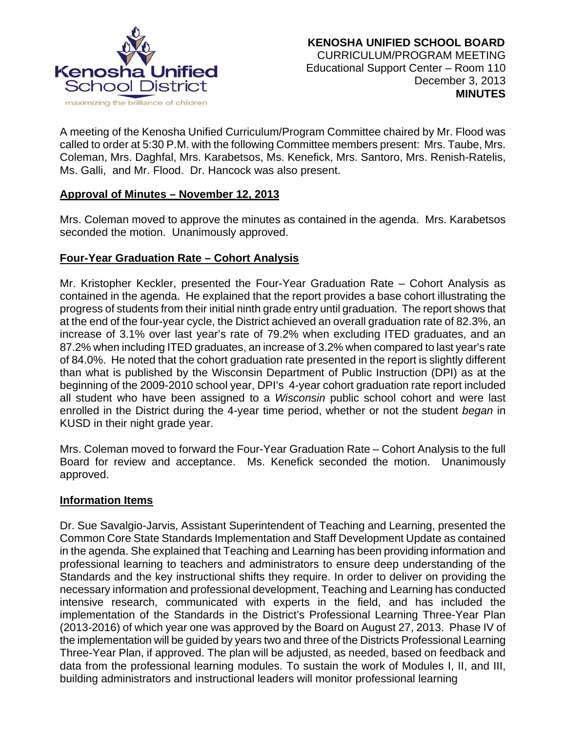

A meeting of the Kenosha Unified Curriculum/Program Committee chaired by Mr. Flood was called to order at 5:30 P.M. with the following Committee members present: Mrs. Taube, Mrs. Coleman, Mrs. Daghfal, Mrs. Karabetsos, Ms. Kenefick, Mrs. Santoro, Mrs. Renish-Ratelis, Ms. Galli, and Mr. Flood. Dr. Hancock was also present.

## **Approval of Minutes – November 12, 2013**

Mrs. Coleman moved to approve the minutes as contained in the agenda. Mrs. Karabetsos seconded the motion. Unanimously approved.

## **Four-Year Graduation Rate – Cohort Analysis**

Mr. Kristopher Keckler, presented the Four-Year Graduation Rate – Cohort Analysis as contained in the agenda. He explained that the report provides a base cohort illustrating the progress of students from their initial ninth grade entry until graduation. The report shows that at the end of the four-year cycle, the District achieved an overall graduation rate of 82.3%, an increase of 3.1% over last year's rate of 79.2% when excluding ITED graduates, and an 87.2% when including ITED graduates, an increase of 3.2% when compared to last year's rate of 84.0%. He noted that the cohort graduation rate presented in the report is slightly different than what is published by the Wisconsin Department of Public Instruction (DPI) as at the beginning of the 2009-2010 school year, DPI's 4-year cohort graduation rate report included all student who have been assigned to a *Wisconsin* public school cohort and were last enrolled in the District during the 4-year time period, whether or not the student *began* in KUSD in their night grade year.

Mrs. Coleman moved to forward the Four-Year Graduation Rate – Cohort Analysis to the full Board for review and acceptance. Ms. Kenefick seconded the motion. Unanimously approved.

#### **Information Items**

Dr. Sue Savalgio-Jarvis, Assistant Superintendent of Teaching and Learning, presented the Common Core State Standards Implementation and Staff Development Update as contained in the agenda. She explained that Teaching and Learning has been providing information and professional learning to teachers and administrators to ensure deep understanding of the Standards and the key instructional shifts they require. In order to deliver on providing the necessary information and professional development, Teaching and Learning has conducted intensive research, communicated with experts in the field, and has included the implementation of the Standards in the District's Professional Learning Three-Year Plan (2013-2016) of which year one was approved by the Board on August 27, 2013. Phase IV of the implementation will be guided by years two and three of the Districts Professional Learning Three-Year Plan, if approved. The plan will be adjusted, as needed, based on feedback and data from the professional learning modules. To sustain the work of Modules I, II, and III, building administrators and instructional leaders will monitor professional learning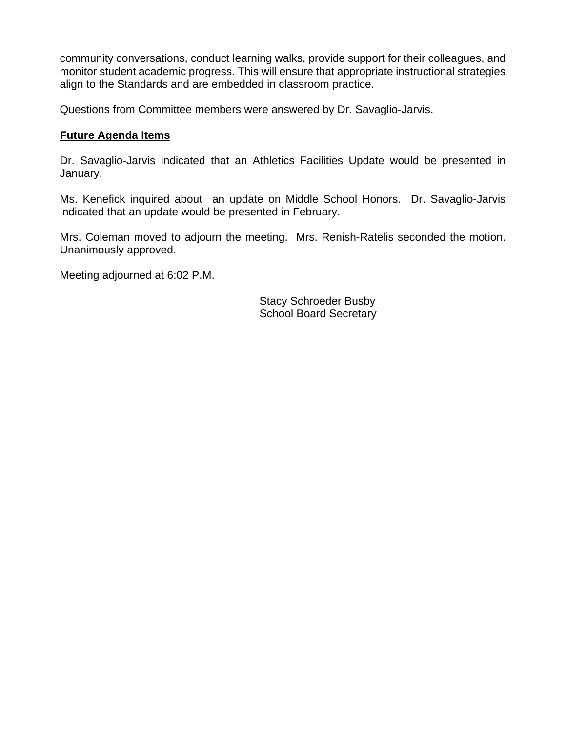community conversations, conduct learning walks, provide support for their colleagues, and monitor student academic progress. This will ensure that appropriate instructional strategies align to the Standards and are embedded in classroom practice.

Questions from Committee members were answered by Dr. Savaglio-Jarvis.

### **Future Agenda Items**

Dr. Savaglio-Jarvis indicated that an Athletics Facilities Update would be presented in January.

Ms. Kenefick inquired about an update on Middle School Honors. Dr. Savaglio-Jarvis indicated that an update would be presented in February.

Mrs. Coleman moved to adjourn the meeting. Mrs. Renish-Ratelis seconded the motion. Unanimously approved.

Meeting adjourned at 6:02 P.M.

Stacy Schroeder Busby School Board Secretary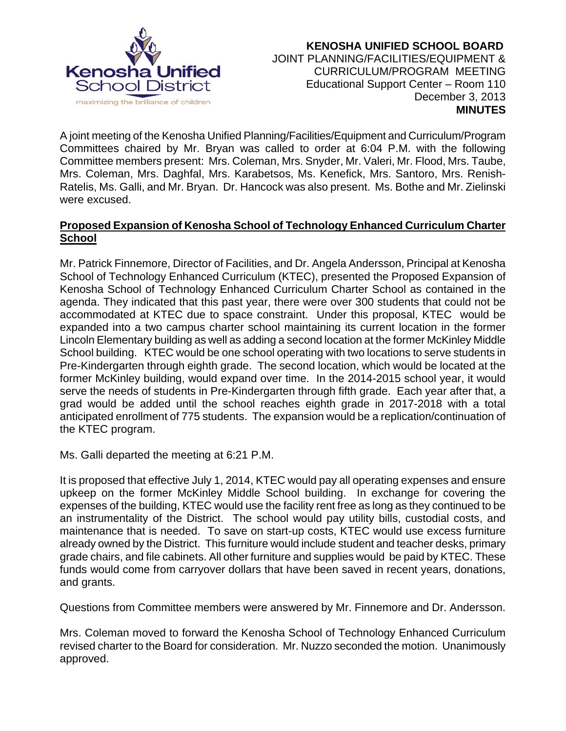

 **KENOSHA UNIFIED SCHOOL BOARD** JOINT PLANNING/FACILITIES/EQUIPMENT & CURRICULUM/PROGRAM MEETING Educational Support Center – Room 110 December 3, 2013  **MINUTES**

A joint meeting of the Kenosha Unified Planning/Facilities/Equipment and Curriculum/Program Committees chaired by Mr. Bryan was called to order at 6:04 P.M. with the following Committee members present: Mrs. Coleman, Mrs. Snyder, Mr. Valeri, Mr. Flood, Mrs. Taube, Mrs. Coleman, Mrs. Daghfal, Mrs. Karabetsos, Ms. Kenefick, Mrs. Santoro, Mrs. Renish-Ratelis, Ms. Galli, and Mr. Bryan. Dr. Hancock was also present. Ms. Bothe and Mr. Zielinski were excused.

### **Proposed Expansion of Kenosha School of Technology Enhanced Curriculum Charter School**

Mr. Patrick Finnemore, Director of Facilities, and Dr. Angela Andersson, Principal at Kenosha School of Technology Enhanced Curriculum (KTEC), presented the Proposed Expansion of Kenosha School of Technology Enhanced Curriculum Charter School as contained in the agenda. They indicated that this past year, there were over 300 students that could not be accommodated at KTEC due to space constraint. Under this proposal, KTEC would be expanded into a two campus charter school maintaining its current location in the former Lincoln Elementary building as well as adding a second location at the former McKinley Middle School building. KTEC would be one school operating with two locations to serve students in Pre-Kindergarten through eighth grade. The second location, which would be located at the former McKinley building, would expand over time. In the 2014-2015 school year, it would serve the needs of students in Pre-Kindergarten through fifth grade. Each year after that, a grad would be added until the school reaches eighth grade in 2017-2018 with a total anticipated enrollment of 775 students. The expansion would be a replication/continuation of the KTEC program.

Ms. Galli departed the meeting at 6:21 P.M.

It is proposed that effective July 1, 2014, KTEC would pay all operating expenses and ensure upkeep on the former McKinley Middle School building. In exchange for covering the expenses of the building, KTEC would use the facility rent free as long as they continued to be an instrumentality of the District. The school would pay utility bills, custodial costs, and maintenance that is needed. To save on start-up costs, KTEC would use excess furniture already owned by the District. This furniture would include student and teacher desks, primary grade chairs, and file cabinets. All other furniture and supplies would be paid by KTEC. These funds would come from carryover dollars that have been saved in recent years, donations, and grants.

Questions from Committee members were answered by Mr. Finnemore and Dr. Andersson.

Mrs. Coleman moved to forward the Kenosha School of Technology Enhanced Curriculum revised charter to the Board for consideration. Mr. Nuzzo seconded the motion. Unanimously approved.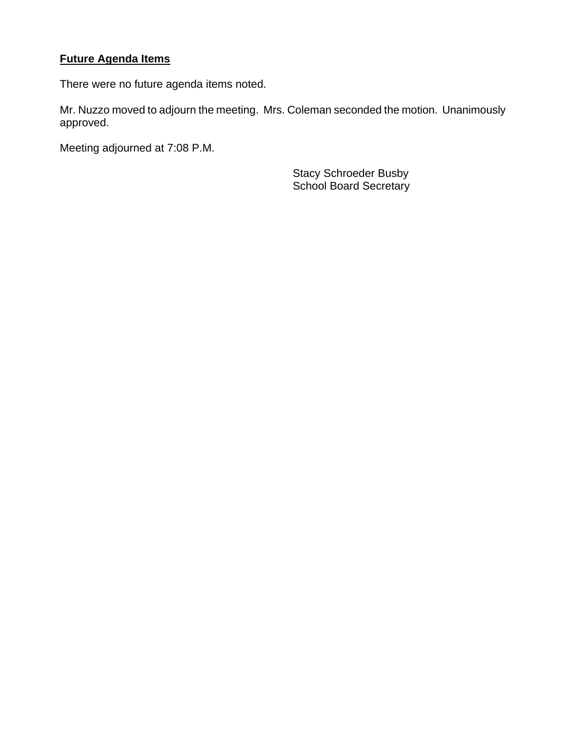# **Future Agenda Items**

There were no future agenda items noted.

Mr. Nuzzo moved to adjourn the meeting. Mrs. Coleman seconded the motion. Unanimously approved.

Meeting adjourned at 7:08 P.M.

 Stacy Schroeder Busby School Board Secretary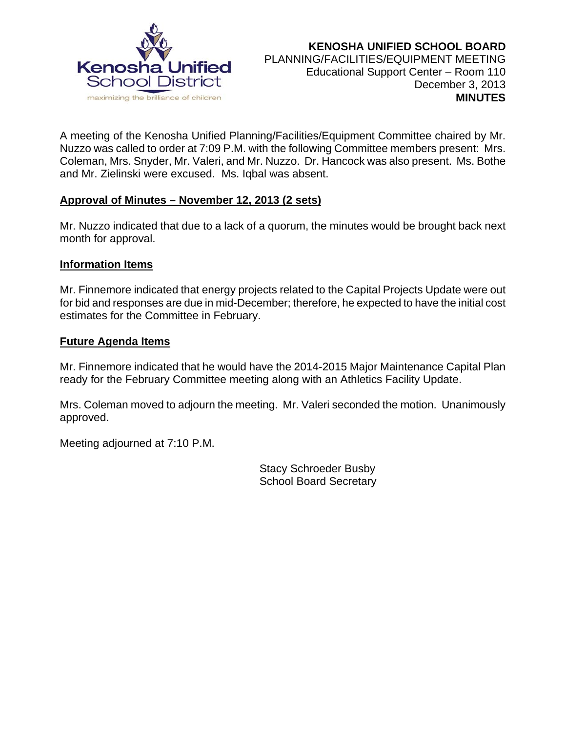

A meeting of the Kenosha Unified Planning/Facilities/Equipment Committee chaired by Mr. Nuzzo was called to order at 7:09 P.M. with the following Committee members present: Mrs. Coleman, Mrs. Snyder, Mr. Valeri, and Mr. Nuzzo. Dr. Hancock was also present. Ms. Bothe and Mr. Zielinski were excused. Ms. Iqbal was absent.

## **Approval of Minutes – November 12, 2013 (2 sets)**

Mr. Nuzzo indicated that due to a lack of a quorum, the minutes would be brought back next month for approval.

#### **Information Items**

Mr. Finnemore indicated that energy projects related to the Capital Projects Update were out for bid and responses are due in mid-December; therefore, he expected to have the initial cost estimates for the Committee in February.

#### **Future Agenda Items**

Mr. Finnemore indicated that he would have the 2014-2015 Major Maintenance Capital Plan ready for the February Committee meeting along with an Athletics Facility Update.

Mrs. Coleman moved to adjourn the meeting. Mr. Valeri seconded the motion. Unanimously approved.

Meeting adjourned at 7:10 P.M.

 Stacy Schroeder Busby School Board Secretary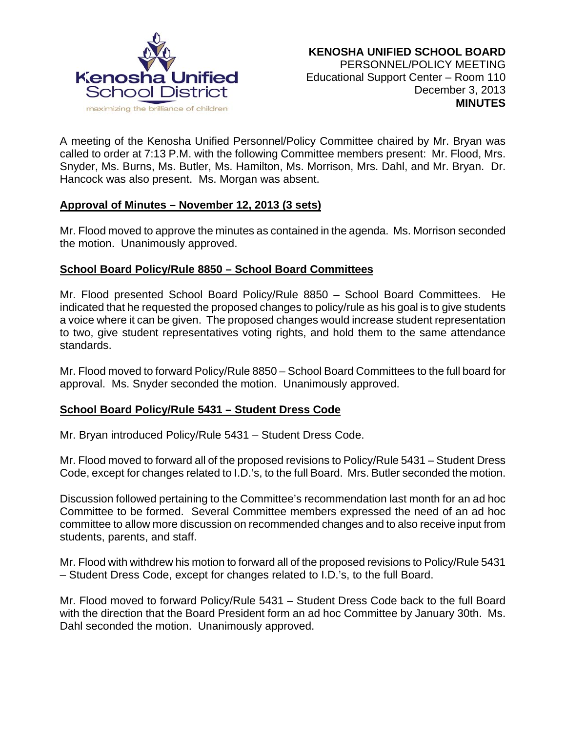

A meeting of the Kenosha Unified Personnel/Policy Committee chaired by Mr. Bryan was called to order at 7:13 P.M. with the following Committee members present: Mr. Flood, Mrs. Snyder, Ms. Burns, Ms. Butler, Ms. Hamilton, Ms. Morrison, Mrs. Dahl, and Mr. Bryan. Dr. Hancock was also present. Ms. Morgan was absent.

#### **Approval of Minutes – November 12, 2013 (3 sets)**

Mr. Flood moved to approve the minutes as contained in the agenda. Ms. Morrison seconded the motion. Unanimously approved.

## **School Board Policy/Rule 8850 – School Board Committees**

Mr. Flood presented School Board Policy/Rule 8850 – School Board Committees. He indicated that he requested the proposed changes to policy/rule as his goal is to give students a voice where it can be given. The proposed changes would increase student representation to two, give student representatives voting rights, and hold them to the same attendance standards.

Mr. Flood moved to forward Policy/Rule 8850 – School Board Committees to the full board for approval. Ms. Snyder seconded the motion. Unanimously approved.

#### **School Board Policy/Rule 5431 – Student Dress Code**

Mr. Bryan introduced Policy/Rule 5431 – Student Dress Code.

Mr. Flood moved to forward all of the proposed revisions to Policy/Rule 5431 – Student Dress Code, except for changes related to I.D.'s, to the full Board. Mrs. Butler seconded the motion.

Discussion followed pertaining to the Committee's recommendation last month for an ad hoc Committee to be formed. Several Committee members expressed the need of an ad hoc committee to allow more discussion on recommended changes and to also receive input from students, parents, and staff.

Mr. Flood with withdrew his motion to forward all of the proposed revisions to Policy/Rule 5431 – Student Dress Code, except for changes related to I.D.'s, to the full Board.

Mr. Flood moved to forward Policy/Rule 5431 – Student Dress Code back to the full Board with the direction that the Board President form an ad hoc Committee by January 30th. Ms. Dahl seconded the motion. Unanimously approved.